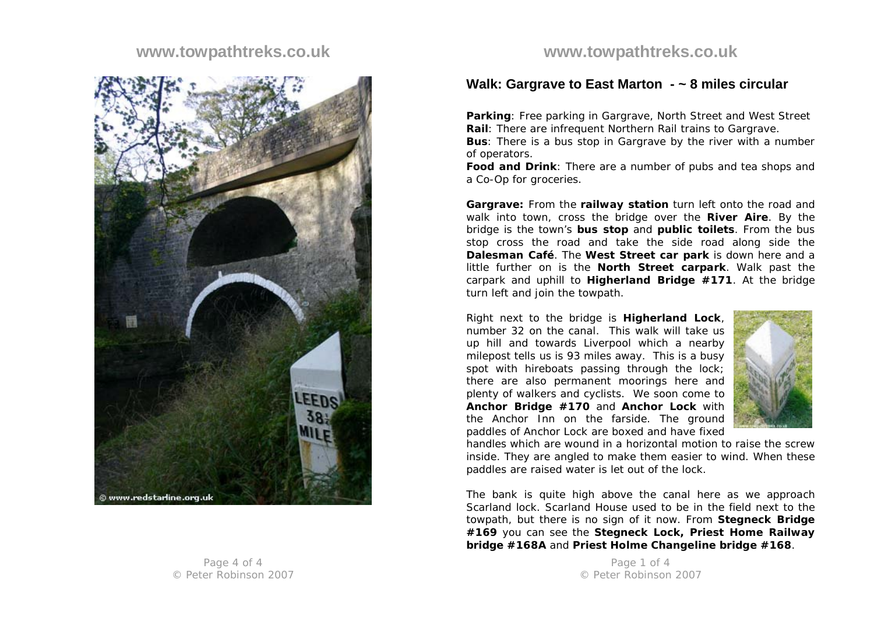## **www.towpathtreks.co.uk**



# **www.towpathtreks.co.uk**

#### **Walk: Gargrave to East Marton - ~ 8 miles circular**

**Parking**: Free parking in Gargrave, North Street and West Street **Rail**: There are infrequent Northern Rail trains to Gargrave.

**Bus**: There is a bus stop in Gargrave by the river with a number of operators.

**Food and Drink**: There are a number of pubs and tea shops and a Co-Op for groceries.

**Gargrave:** From the **railway station** turn left onto the road and walk into town, cross the bridge over the **River Aire**. By the bridge is the town's **bus stop** and **public toilets**. From the bus stop cross the road and take the side road along side the **Dalesman Café**. The **West Street car park** is down here and a little further on is the **North Street carpark**. Walk past the carpark and uphill to **Higherland Bridge #171**. At the bridge turn left and join the towpath.

Right next to the bridge is **Higherland Lock**, number 32 on the canal. This walk will take us up hill and towards Liverpool which a nearby milepost tells us is 93 miles away. This is a busy spot with hireboats passing through the lock; there are also permanent moorings here and plenty of walkers and cyclists. We soon come to **Anchor Bridge #170** and **Anchor Lock** with the Anchor Inn on the farside. The ground paddles of Anchor Lock are boxed and have fixed



handles which are wound in a horizontal motion to raise the screw inside. They are angled to make them easier to wind. When these paddles are raised water is let out of the lock.

The bank is quite high above the canal here as we approach Scarland lock. Scarland House used to be in the field next to the towpath, but there is no sign of it now. From **Stegneck Bridge #169** you can see the **Stegneck Lock, Priest Home Railway bridge #168A** and **Priest Holme Changeline bridge #168**.